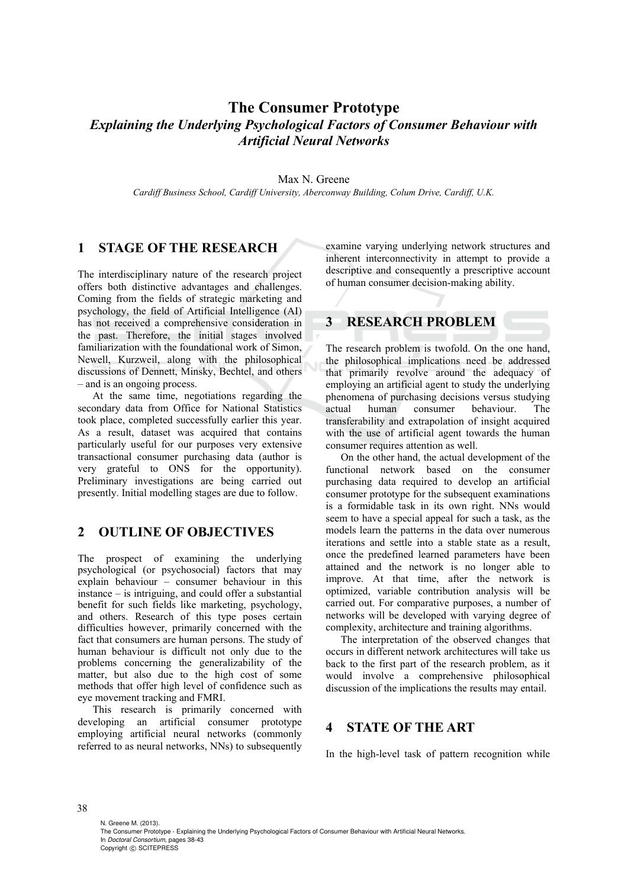# **The Consumer Prototype**  *Explaining the Underlying Psychological Factors of Consumer Behaviour with Artificial Neural Networks*

Max N. Greene

*Cardiff Business School, Cardiff University, Aberconway Building, Colum Drive, Cardiff, U.K.* 

### **1 STAGE OF THE RESEARCH**

The interdisciplinary nature of the research project offers both distinctive advantages and challenges. Coming from the fields of strategic marketing and psychology, the field of Artificial Intelligence (AI) has not received a comprehensive consideration in the past. Therefore, the initial stages involved familiarization with the foundational work of Simon, Newell, Kurzweil, along with the philosophical discussions of Dennett, Minsky, Bechtel, and others – and is an ongoing process.

At the same time, negotiations regarding the secondary data from Office for National Statistics took place, completed successfully earlier this year. As a result, dataset was acquired that contains particularly useful for our purposes very extensive transactional consumer purchasing data (author is very grateful to ONS for the opportunity). Preliminary investigations are being carried out presently. Initial modelling stages are due to follow.

### **2 OUTLINE OF OBJECTIVES**

The prospect of examining the underlying psychological (or psychosocial) factors that may explain behaviour – consumer behaviour in this instance – is intriguing, and could offer a substantial benefit for such fields like marketing, psychology, and others. Research of this type poses certain difficulties however, primarily concerned with the fact that consumers are human persons. The study of human behaviour is difficult not only due to the problems concerning the generalizability of the matter, but also due to the high cost of some methods that offer high level of confidence such as eye movement tracking and FMRI.

This research is primarily concerned with developing an artificial consumer prototype employing artificial neural networks (commonly referred to as neural networks, NNs) to subsequently

examine varying underlying network structures and inherent interconnectivity in attempt to provide a descriptive and consequently a prescriptive account of human consumer decision-making ability.

# **3 RESEARCH PROBLEM**

The research problem is twofold. On the one hand, the philosophical implications need be addressed that primarily revolve around the adequacy of employing an artificial agent to study the underlying phenomena of purchasing decisions versus studying actual human consumer behaviour. The transferability and extrapolation of insight acquired with the use of artificial agent towards the human consumer requires attention as well.

On the other hand, the actual development of the functional network based on the consumer purchasing data required to develop an artificial consumer prototype for the subsequent examinations is a formidable task in its own right. NNs would seem to have a special appeal for such a task, as the models learn the patterns in the data over numerous iterations and settle into a stable state as a result, once the predefined learned parameters have been attained and the network is no longer able to improve. At that time, after the network is optimized, variable contribution analysis will be carried out. For comparative purposes, a number of networks will be developed with varying degree of complexity, architecture and training algorithms.

The interpretation of the observed changes that occurs in different network architectures will take us back to the first part of the research problem, as it would involve a comprehensive philosophical discussion of the implications the results may entail.

#### **4 STATE OF THE ART**

In the high-level task of pattern recognition while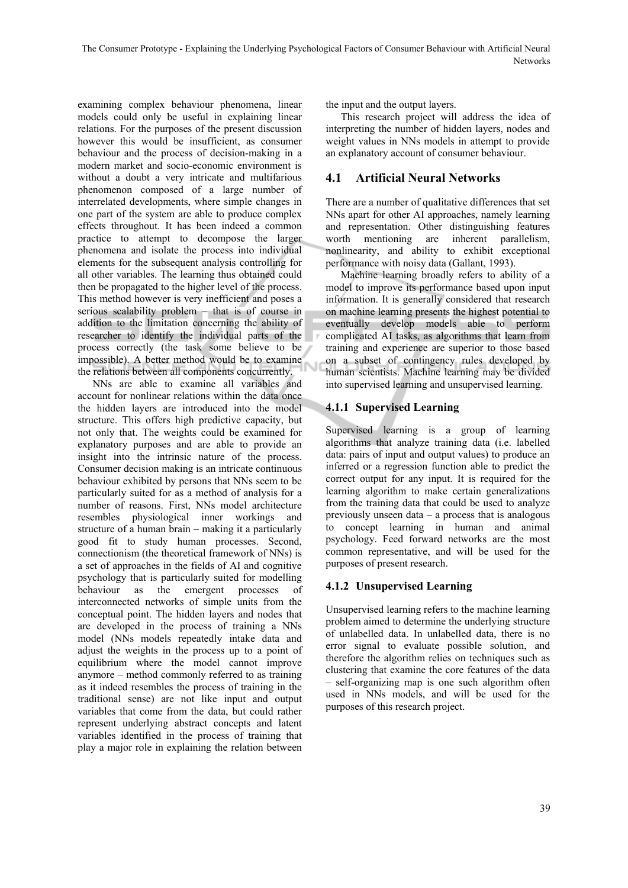examining complex behaviour phenomena, linear models could only be useful in explaining linear relations. For the purposes of the present discussion however this would be insufficient, as consumer behaviour and the process of decision-making in a modern market and socio-economic environment is without a doubt a very intricate and multifarious phenomenon composed of a large number of interrelated developments, where simple changes in one part of the system are able to produce complex effects throughout. It has been indeed a common practice to attempt to decompose the larger phenomena and isolate the process into individual elements for the subsequent analysis controlling for all other variables. The learning thus obtained could then be propagated to the higher level of the process. This method however is very inefficient and poses a serious scalability problem – that is of course in addition to the limitation concerning the ability of researcher to identify the individual parts of the process correctly (the task some believe to be impossible). A better method would be to examine the relations between all components concurrently.

NNs are able to examine all variables and account for nonlinear relations within the data once the hidden layers are introduced into the model structure. This offers high predictive capacity, but not only that. The weights could be examined for explanatory purposes and are able to provide an insight into the intrinsic nature of the process. Consumer decision making is an intricate continuous behaviour exhibited by persons that NNs seem to be particularly suited for as a method of analysis for a number of reasons. First, NNs model architecture resembles physiological inner workings and structure of a human brain – making it a particularly good fit to study human processes. Second, connectionism (the theoretical framework of NNs) is a set of approaches in the fields of AI and cognitive psychology that is particularly suited for modelling behaviour as the emergent processes of interconnected networks of simple units from the conceptual point. The hidden layers and nodes that are developed in the process of training a NNs model (NNs models repeatedly intake data and adjust the weights in the process up to a point of equilibrium where the model cannot improve anymore – method commonly referred to as training as it indeed resembles the process of training in the traditional sense) are not like input and output variables that come from the data, but could rather represent underlying abstract concepts and latent variables identified in the process of training that play a major role in explaining the relation between the input and the output layers.

This research project will address the idea of interpreting the number of hidden layers, nodes and weight values in NNs models in attempt to provide an explanatory account of consumer behaviour.

## **4.1 Artificial Neural Networks**

There are a number of qualitative differences that set NNs apart for other AI approaches, namely learning and representation. Other distinguishing features worth mentioning are inherent parallelism, nonlinearity, and ability to exhibit exceptional performance with noisy data (Gallant, 1993).

Machine learning broadly refers to ability of a model to improve its performance based upon input information. It is generally considered that research on machine learning presents the highest potential to eventually develop models able to perform complicated AI tasks, as algorithms that learn from training and experience are superior to those based on a subset of contingency rules developed by human scientists. Machine learning may be divided into supervised learning and unsupervised learning.

#### **4.1.1 Supervised Learning**

Supervised learning is a group of learning algorithms that analyze training data (i.e. labelled data: pairs of input and output values) to produce an inferred or a regression function able to predict the correct output for any input. It is required for the learning algorithm to make certain generalizations from the training data that could be used to analyze previously unseen data – a process that is analogous to concept learning in human and animal psychology. Feed forward networks are the most common representative, and will be used for the purposes of present research.

#### **4.1.2 Unsupervised Learning**

Unsupervised learning refers to the machine learning problem aimed to determine the underlying structure of unlabelled data. In unlabelled data, there is no error signal to evaluate possible solution, and therefore the algorithm relies on techniques such as clustering that examine the core features of the data – self-organizing map is one such algorithm often used in NNs models, and will be used for the purposes of this research project.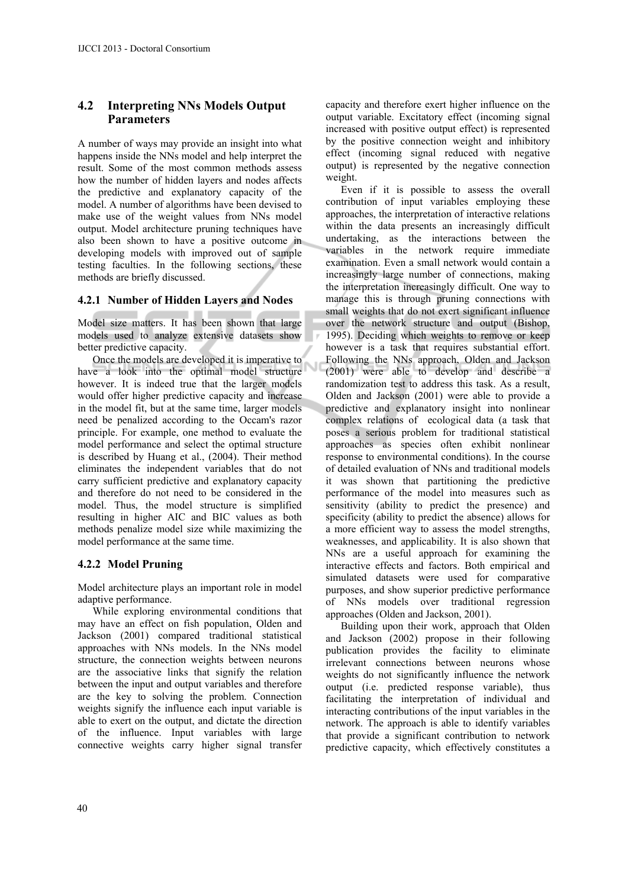#### **4.2 Interpreting NNs Models Output Parameters**

A number of ways may provide an insight into what happens inside the NNs model and help interpret the result. Some of the most common methods assess how the number of hidden layers and nodes affects the predictive and explanatory capacity of the model. A number of algorithms have been devised to make use of the weight values from NNs model output. Model architecture pruning techniques have also been shown to have a positive outcome in developing models with improved out of sample testing faculties. In the following sections, these methods are briefly discussed.

#### **4.2.1 Number of Hidden Layers and Nodes**

Model size matters. It has been shown that large models used to analyze extensive datasets show better predictive capacity.

Once the models are developed it is imperative to have a look into the optimal model structure however. It is indeed true that the larger models would offer higher predictive capacity and increase in the model fit, but at the same time, larger models need be penalized according to the Occam's razor principle. For example, one method to evaluate the model performance and select the optimal structure is described by Huang et al., (2004). Their method eliminates the independent variables that do not carry sufficient predictive and explanatory capacity and therefore do not need to be considered in the model. Thus, the model structure is simplified resulting in higher AIC and BIC values as both methods penalize model size while maximizing the model performance at the same time.

#### **4.2.2 Model Pruning**

Model architecture plays an important role in model adaptive performance.

While exploring environmental conditions that may have an effect on fish population, Olden and Jackson (2001) compared traditional statistical approaches with NNs models. In the NNs model structure, the connection weights between neurons are the associative links that signify the relation between the input and output variables and therefore are the key to solving the problem. Connection weights signify the influence each input variable is able to exert on the output, and dictate the direction of the influence. Input variables with large connective weights carry higher signal transfer

capacity and therefore exert higher influence on the output variable. Excitatory effect (incoming signal increased with positive output effect) is represented by the positive connection weight and inhibitory effect (incoming signal reduced with negative output) is represented by the negative connection weight.

Even if it is possible to assess the overall contribution of input variables employing these approaches, the interpretation of interactive relations within the data presents an increasingly difficult undertaking, as the interactions between the variables in the network require immediate examination. Even a small network would contain a increasingly large number of connections, making the interpretation increasingly difficult. One way to manage this is through pruning connections with small weights that do not exert significant influence over the network structure and output (Bishop, 1995). Deciding which weights to remove or keep however is a task that requires substantial effort. Following the NNs approach, Olden and Jackson (2001) were able to develop and describe a randomization test to address this task. As a result, Olden and Jackson (2001) were able to provide a predictive and explanatory insight into nonlinear complex relations of ecological data (a task that poses a serious problem for traditional statistical approaches as species often exhibit nonlinear response to environmental conditions). In the course of detailed evaluation of NNs and traditional models it was shown that partitioning the predictive performance of the model into measures such as sensitivity (ability to predict the presence) and specificity (ability to predict the absence) allows for a more efficient way to assess the model strengths, weaknesses, and applicability. It is also shown that NNs are a useful approach for examining the interactive effects and factors. Both empirical and simulated datasets were used for comparative purposes, and show superior predictive performance of NNs models over traditional regression approaches (Olden and Jackson, 2001).

Building upon their work, approach that Olden and Jackson (2002) propose in their following publication provides the facility to eliminate irrelevant connections between neurons whose weights do not significantly influence the network output (i.e. predicted response variable), thus facilitating the interpretation of individual and interacting contributions of the input variables in the network. The approach is able to identify variables that provide a significant contribution to network predictive capacity, which effectively constitutes a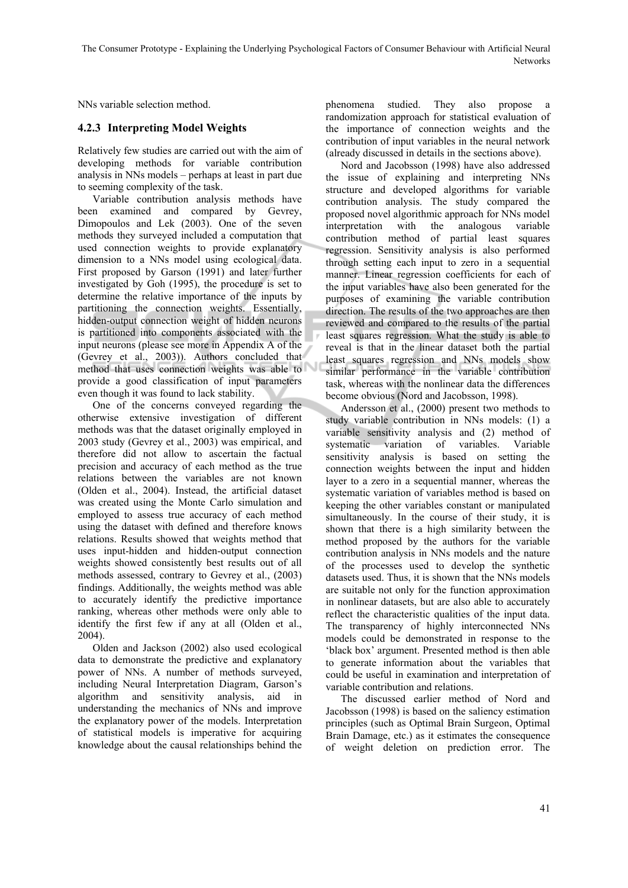NNs variable selection method.

#### **4.2.3 Interpreting Model Weights**

Relatively few studies are carried out with the aim of developing methods for variable contribution analysis in NNs models – perhaps at least in part due to seeming complexity of the task.

Variable contribution analysis methods have been examined and compared by Gevrey, Dimopoulos and Lek (2003). One of the seven methods they surveyed included a computation that used connection weights to provide explanatory dimension to a NNs model using ecological data. First proposed by Garson (1991) and later further investigated by Goh (1995), the procedure is set to determine the relative importance of the inputs by partitioning the connection weights. Essentially, hidden-output connection weight of hidden neurons is partitioned into components associated with the input neurons (please see more in Appendix A of the (Gevrey et al., 2003)). Authors concluded that method that uses connection weights was able to provide a good classification of input parameters even though it was found to lack stability.

One of the concerns conveyed regarding the otherwise extensive investigation of different methods was that the dataset originally employed in 2003 study (Gevrey et al., 2003) was empirical, and therefore did not allow to ascertain the factual precision and accuracy of each method as the true relations between the variables are not known (Olden et al., 2004). Instead, the artificial dataset was created using the Monte Carlo simulation and employed to assess true accuracy of each method using the dataset with defined and therefore knows relations. Results showed that weights method that uses input-hidden and hidden-output connection weights showed consistently best results out of all methods assessed, contrary to Gevrey et al., (2003) findings. Additionally, the weights method was able to accurately identify the predictive importance ranking, whereas other methods were only able to identify the first few if any at all (Olden et al., 2004).

Olden and Jackson (2002) also used ecological data to demonstrate the predictive and explanatory power of NNs. A number of methods surveyed, including Neural Interpretation Diagram, Garson's algorithm and sensitivity analysis, aid in understanding the mechanics of NNs and improve the explanatory power of the models. Interpretation of statistical models is imperative for acquiring knowledge about the causal relationships behind the

phenomena studied. They also propose a randomization approach for statistical evaluation of the importance of connection weights and the contribution of input variables in the neural network (already discussed in details in the sections above).

Nord and Jacobsson (1998) have also addressed the issue of explaining and interpreting NNs structure and developed algorithms for variable contribution analysis. The study compared the proposed novel algorithmic approach for NNs model interpretation with the analogous variable contribution method of partial least squares regression. Sensitivity analysis is also performed through setting each input to zero in a sequential manner. Linear regression coefficients for each of the input variables have also been generated for the purposes of examining the variable contribution direction. The results of the two approaches are then reviewed and compared to the results of the partial least squares regression. What the study is able to reveal is that in the linear dataset both the partial least squares regression and NNs models show similar performance in the variable contribution task, whereas with the nonlinear data the differences become obvious (Nord and Jacobsson, 1998).

Andersson et al., (2000) present two methods to study variable contribution in NNs models: (1) a variable sensitivity analysis and (2) method of systematic variation of variables. Variable sensitivity analysis is based on setting the connection weights between the input and hidden layer to a zero in a sequential manner, whereas the systematic variation of variables method is based on keeping the other variables constant or manipulated simultaneously. In the course of their study, it is shown that there is a high similarity between the method proposed by the authors for the variable contribution analysis in NNs models and the nature of the processes used to develop the synthetic datasets used. Thus, it is shown that the NNs models are suitable not only for the function approximation in nonlinear datasets, but are also able to accurately reflect the characteristic qualities of the input data. The transparency of highly interconnected NNs models could be demonstrated in response to the 'black box' argument. Presented method is then able to generate information about the variables that could be useful in examination and interpretation of variable contribution and relations.

The discussed earlier method of Nord and Jacobsson (1998) is based on the saliency estimation principles (such as Optimal Brain Surgeon, Optimal Brain Damage, etc.) as it estimates the consequence of weight deletion on prediction error. The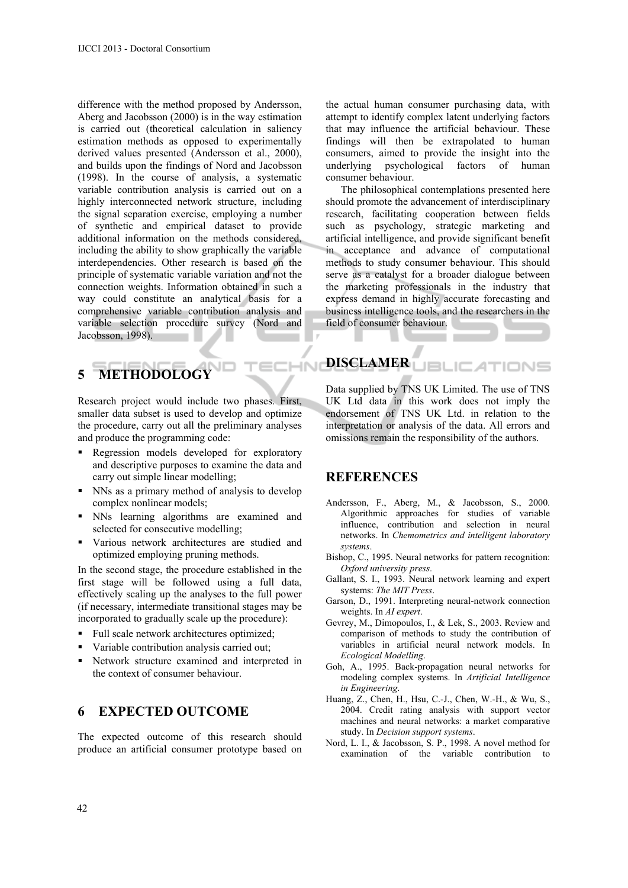difference with the method proposed by Andersson, Aberg and Jacobsson (2000) is in the way estimation is carried out (theoretical calculation in saliency estimation methods as opposed to experimentally derived values presented (Andersson et al., 2000), and builds upon the findings of Nord and Jacobsson (1998). In the course of analysis, a systematic variable contribution analysis is carried out on a highly interconnected network structure, including the signal separation exercise, employing a number of synthetic and empirical dataset to provide additional information on the methods considered, including the ability to show graphically the variable interdependencies. Other research is based on the principle of systematic variable variation and not the connection weights. Information obtained in such a way could constitute an analytical basis for a comprehensive variable contribution analysis and variable selection procedure survey (Nord and Jacobsson, 1998).

# **5 METHODOLOGY**

Research project would include two phases. First, smaller data subset is used to develop and optimize the procedure, carry out all the preliminary analyses and produce the programming code:

- Regression models developed for exploratory and descriptive purposes to examine the data and carry out simple linear modelling;
- NNs as a primary method of analysis to develop complex nonlinear models;
- NNs learning algorithms are examined and selected for consecutive modelling;
- Various network architectures are studied and optimized employing pruning methods.

In the second stage, the procedure established in the first stage will be followed using a full data, effectively scaling up the analyses to the full power (if necessary, intermediate transitional stages may be incorporated to gradually scale up the procedure):

- Full scale network architectures optimized;
- Variable contribution analysis carried out;
- Network structure examined and interpreted in the context of consumer behaviour.

# **6 EXPECTED OUTCOME**

The expected outcome of this research should produce an artificial consumer prototype based on

the actual human consumer purchasing data, with attempt to identify complex latent underlying factors that may influence the artificial behaviour. These findings will then be extrapolated to human consumers, aimed to provide the insight into the underlying psychological factors of human consumer behaviour.

The philosophical contemplations presented here should promote the advancement of interdisciplinary research, facilitating cooperation between fields such as psychology, strategic marketing and artificial intelligence, and provide significant benefit in acceptance and advance of computational methods to study consumer behaviour. This should serve as a catalyst for a broader dialogue between the marketing professionals in the industry that express demand in highly accurate forecasting and business intelligence tools, and the researchers in the field of consumer behaviour.

#### **DISCLAMER JBLIC ATIONS**

Data supplied by TNS UK Limited. The use of TNS UK Ltd data in this work does not imply the endorsement of TNS UK Ltd. in relation to the interpretation or analysis of the data. All errors and omissions remain the responsibility of the authors.

#### **REFERENCES**

- Andersson, F., Aberg, M., & Jacobsson, S., 2000. Algorithmic approaches for studies of variable influence, contribution and selection in neural networks. In *Chemometrics and intelligent laboratory systems*.
- Bishop, C., 1995. Neural networks for pattern recognition: *Oxford university press*.
- Gallant, S. I., 1993. Neural network learning and expert systems: *The MIT Press*.
- Garson, D., 1991. Interpreting neural-network connection weights. In *AI expert*.
- Gevrey, M., Dimopoulos, I., & Lek, S., 2003. Review and comparison of methods to study the contribution of variables in artificial neural network models. In *Ecological Modelling*.
- Goh, A., 1995. Back-propagation neural networks for modeling complex systems. In *Artificial Intelligence in Engineering*.
- Huang, Z., Chen, H., Hsu, C.-J., Chen, W.-H., & Wu, S., 2004. Credit rating analysis with support vector machines and neural networks: a market comparative study. In *Decision support systems*.
- Nord, L. I., & Jacobsson, S. P., 1998. A novel method for examination of the variable contribution to